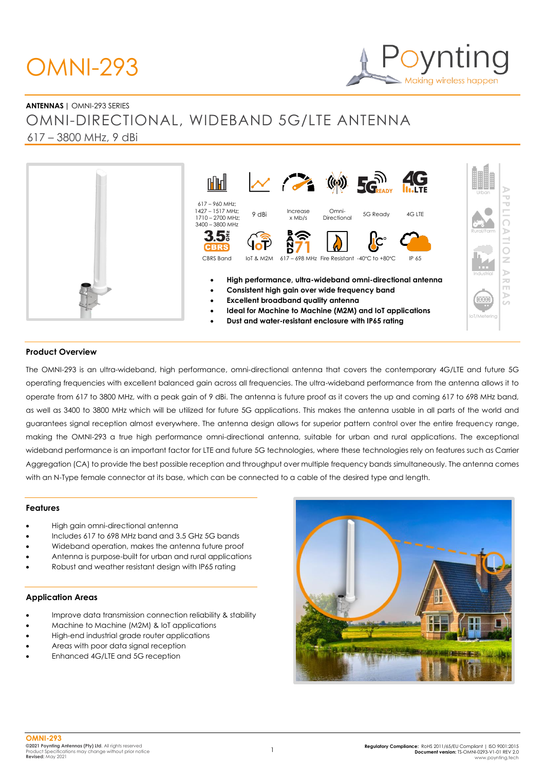### OMNI-293

## Making wireless happen

#### **ANTENNAS |** OMNI-293 SERIES OMNI-DIRECTIONAL, WIDEBAND 5G/LTE ANTENNA 617 – 3800 MHz, 9 dBi



#### **Product Overview**

The OMNI-293 is an ultra-wideband, high performance, omni-directional antenna that covers the contemporary 4G/LTE and future 5G operating frequencies with excellent balanced gain across all frequencies. The ultra-wideband performance from the antenna allows it to operate from 617 to 3800 MHz, with a peak gain of 9 dBi. The antenna is future proof as it covers the up and coming 617 to 698 MHz band, as well as 3400 to 3800 MHz which will be utilized for future 5G applications. This makes the antenna usable in all parts of the world and guarantees signal reception almost everywhere. The antenna design allows for superior pattern control over the entire frequency range, making the OMNI-293 a true high performance omni-directional antenna, suitable for urban and rural applications. The exceptional wideband performance is an important factor for LTE and future 5G technologies, where these technologies rely on features such as Carrier Aggregation (CA) to provide the best possible reception and throughput over multiple frequency bands simultaneously. The antenna comes with an N-Type female connector at its base, which can be connected to a cable of the desired type and length.

#### **Features**

- High gain omni-directional antenna
- Includes 617 to 698 MHz band and 3.5 GHz 5G bands
- Wideband operation, makes the antenna future proof
- Antenna is purpose-built for urban and rural applications
- Robust and weather resistant design with IP65 rating

#### **Application Areas**

- Improve data transmission connection reliability & stability
- Machine to Machine (M2M) & IoT applications
- High-end industrial grade router applications
- Areas with poor data signal reception
- Enhanced 4G/LTE and 5G reception

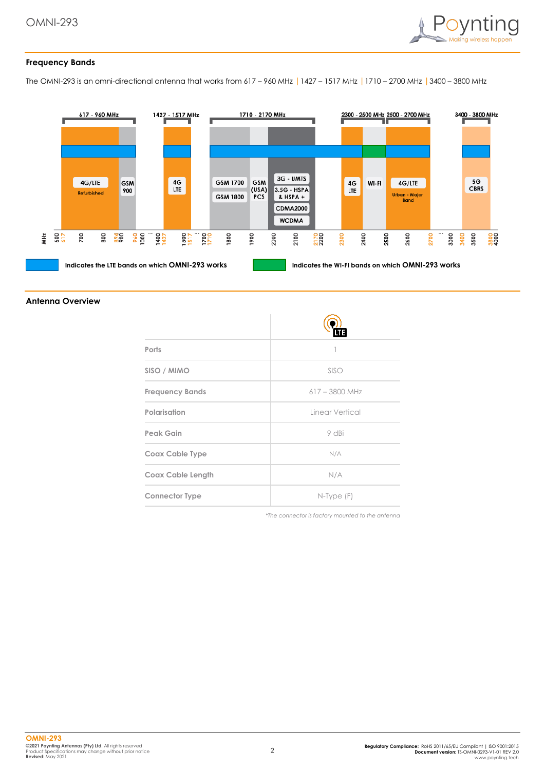

#### **Frequency Bands**

The OMNI-293 is an omni-directional antenna that works from 617 – 960 MHz |1427 – 1517 MHz |1710 – 2700 MHz |3400 – 3800 MHz



#### **Antenna Overview**

| Ports                    |                  |
|--------------------------|------------------|
| SISO / MIMO              | SISO             |
| <b>Frequency Bands</b>   | $617 - 3800$ MHz |
| Polarisation             | Linear Vertical  |
| Peak Gain                | 9 dBi            |
| <b>Coax Cable Type</b>   | N/A              |
| <b>Coax Cable Length</b> | N/A              |
| <b>Connector Type</b>    | $N$ -Type $(F)$  |

*\*The connector is factory mounted to the antenna*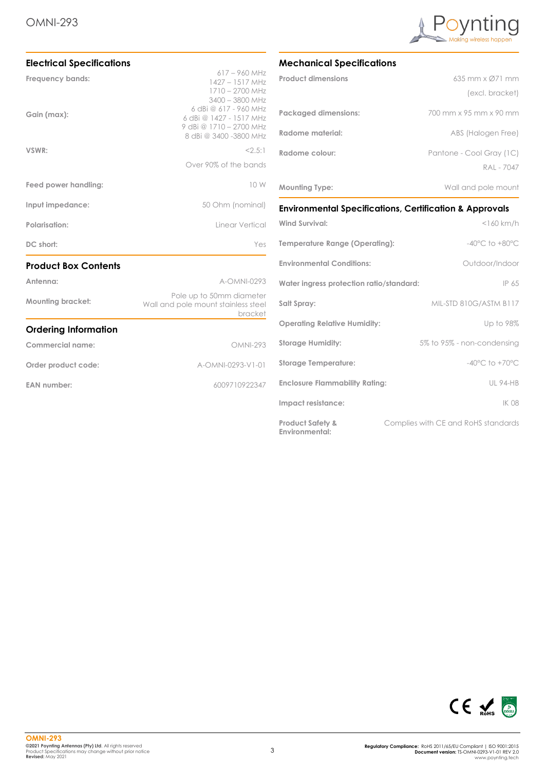

| <b>Electrical Specifications</b> |                                                                                                       |
|----------------------------------|-------------------------------------------------------------------------------------------------------|
| Frequency bands:                 | $617 - 960$ MHz<br>1427 - 1517 MHz<br>1710 - 2700 MHz<br>$3400 - 3800$ MHz                            |
| Gain (max):                      | 6 dBi @ 617 - 960 MHz<br>6 dBi @ 1427 - 1517 MHz<br>9 dBi @ 1710 - 2700 MHz<br>8 dBi @ 3400 -3800 MHz |
| VSWR:                            | 2.5:1                                                                                                 |
|                                  | Over 90% of the bands                                                                                 |
| Feed power handling:             | 10 W                                                                                                  |
| Input impedance:                 | 50 Ohm (nominal)                                                                                      |
| Polarisation:                    | Linear Vertical                                                                                       |
| DC short:                        | Yes                                                                                                   |
| <b>Product Box Contents</b>      |                                                                                                       |
| Antenna:                         | A-OMNI-0293                                                                                           |
| <b>Mounting bracket:</b>         | Pole up to 50mm diameter<br>Wall and pole mount stainless steel<br><b>bracket</b>                     |
| <b>Ordering Information</b>      |                                                                                                       |
| Commercial name:                 | <b>OMNI-293</b>                                                                                       |
| Order product code:              | A-OMNI-0293-V1-01                                                                                     |
| <b>EAN number:</b>               | 6009710922347                                                                                         |

#### **Mechanical Specifications**

| <b>Product dimensions</b>   | 635 mm x Ø71 mm          |
|-----------------------------|--------------------------|
|                             | (excl. bracket)          |
| <b>Packaged dimensions:</b> | 700 mm x 95 mm x 90 mm   |
| Radome material:            | ABS (Halogen Free)       |
| Radome colour:              | Pantone - Cool Gray (1C) |
|                             | RAI - 7047               |
| <b>Mounting Type:</b>       | Wall and pole mount      |

#### **Environmental Specifications, Certification & Approvals**

| <b>Wind Survival:</b>                                | $<$ 160 km/h                        |
|------------------------------------------------------|-------------------------------------|
| Temperature Range (Operating):                       | $-40^{\circ}$ C to $+80^{\circ}$ C  |
| <b>Environmental Conditions:</b>                     | Outdoor/Indoor                      |
| Water ingress protection ratio/standard:             | IP 65                               |
| Salt Spray:                                          | MIL-STD 810G/ASTM B117              |
| <b>Operating Relative Humidity:</b>                  | Up to 98%                           |
| <b>Storage Humidity:</b>                             | 5% to 95% - non-condensing          |
| <b>Storage Temperature:</b>                          | $-40^{\circ}$ C to $+70^{\circ}$ C  |
| <b>Enclosure Flammability Rating:</b>                | <b>UL 94-HB</b>                     |
| Impact resistance:                                   | <b>IK 08</b>                        |
| <b>Product Safety &amp;</b><br><b>Environmental:</b> | Complies with CE and RoHS standards |

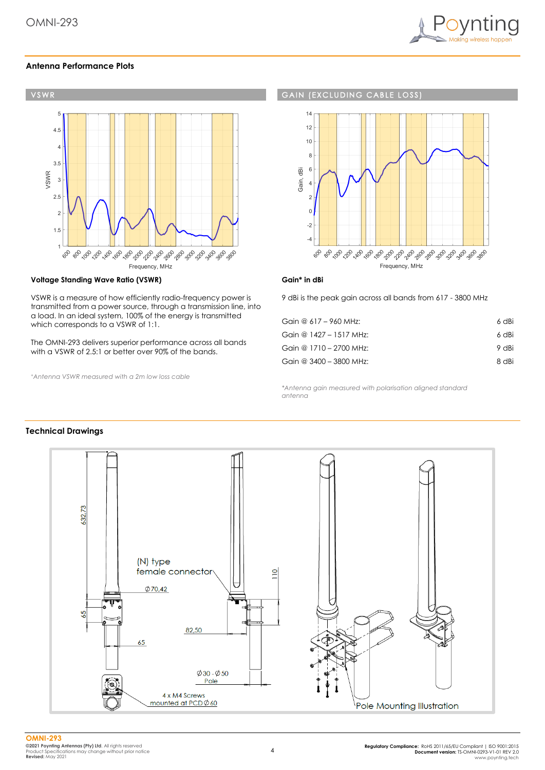

#### **Antenna Performance Plots**



#### **Voltage Standing Wave Ratio (VSWR)**

VSWR is a measure of how efficiently radio-frequency power is transmitted from a power source, through a transmission line, into a load. In an ideal system, 100% of the energy is transmitted which corresponds to a VSWR of 1:1.

The OMNI-293 delivers superior performance across all bands with a VSWR of 2.5:1 or better over 90% of the bands.

*<sup>+</sup>Antenna VSWR measured with a 2m low loss cable*

#### **GAIN (EXCLUDING CABLE LOSS**



#### **Gain\* in dBi**

9 dBi is the peak gain across all bands from 617 - 3800 MHz

| Gain @ 617 - 960 MHz:   | 6 dBi |
|-------------------------|-------|
| Gain @ 1427 - 1517 MHz: | 6 dBi |
| Gain @ 1710 - 2700 MHz: | 9 dBi |
| Gain @ 3400 - 3800 MHz: | 8 dBi |

*\*Antenna gain measured with polarisation aligned standard antenna*

#### **Technical Drawings**

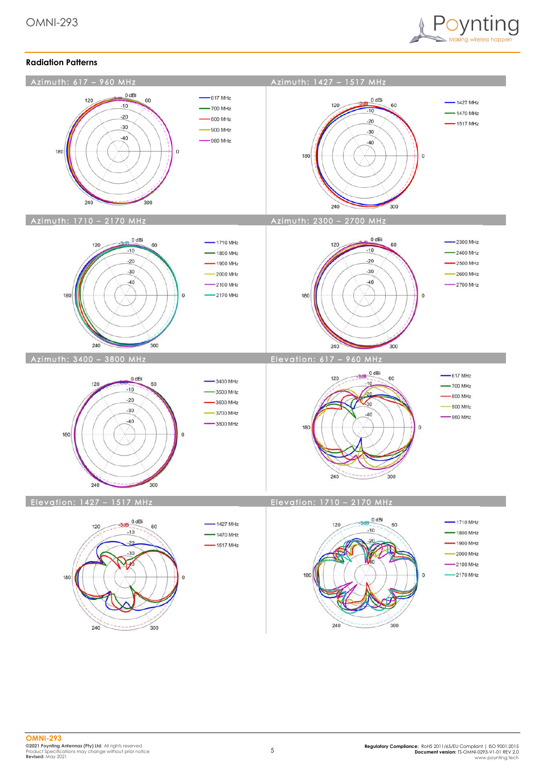

#### **Radiation Patterns**

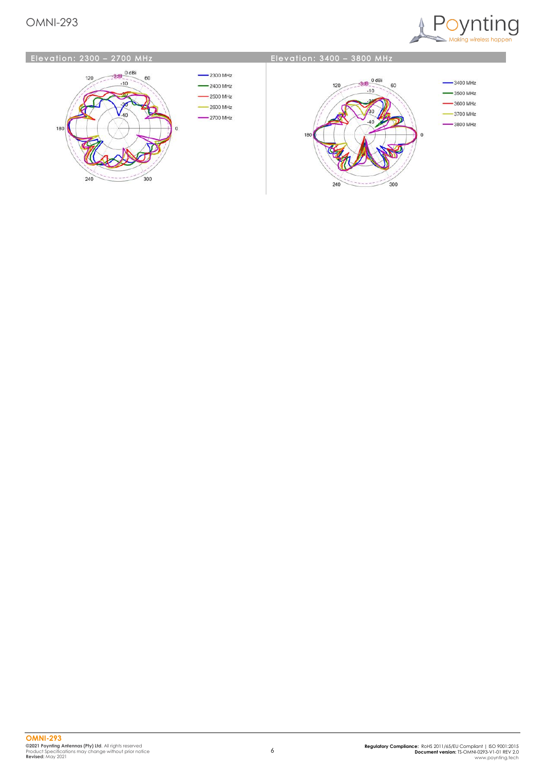#### OMNI-293



#### Elevation: 2300 - 2700 MHz



#### **Elevation: 3400 - 3800 MHz**

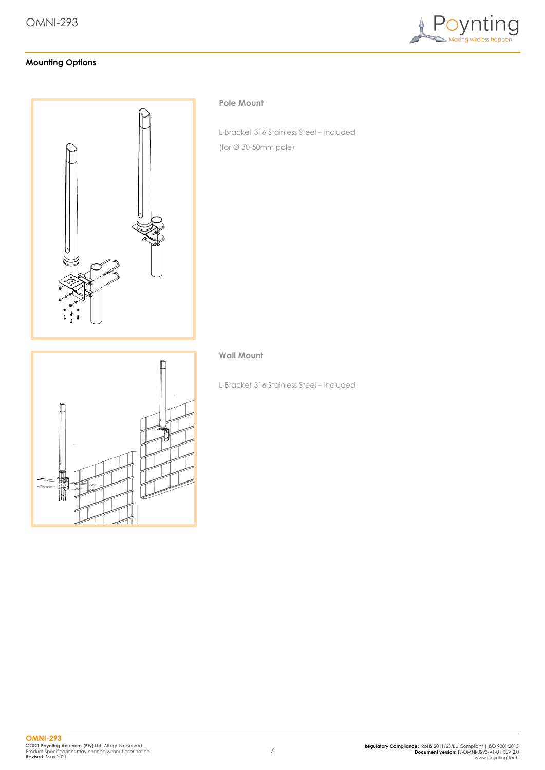

#### **Mounting Options**



#### **Pole Mount**

L-Bracket 316 Stainless Steel – included (for Ø 30-50mm pole)

# ₩

#### **Wall Mount**

L-Bracket 316 Stainless Steel – included